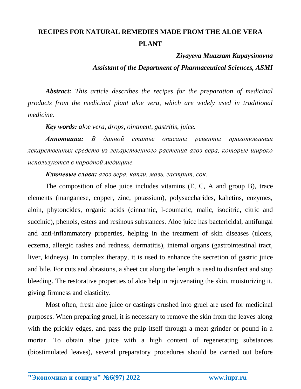## **RECIPES FOR NATURAL REMEDIES MADE FROM THE ALOE VERA PLANT**

## *Ziyayeva Muazzam Kupaysinovna*

*Assistant of the Department of Pharmaceutical Sciences, ASMI*

*Abstract: This article describes the recipes for the preparation of medicinal products from the medicinal plant aloe vera, which are widely used in traditional medicine.*

*Key words: aloe vera, drops, ointment, gastritis, juice.*

*Аннотация: В данной статье описаны рецепты приготовления лекарственных средств из лекарственного растения алоэ вера, которые широко используются в народной медицине.*

*Ключевые слова: алоэ вера, капли, мазь, гастрит, сок.*

The composition of aloe juice includes vitamins (E, C, A and group B), trace elements (manganese, copper, zinc, potassium), polysaccharides, kahetins, enzymes, aloin, phytoncides, organic acids (cinnamic, l-coumaric, malic, isocitric, citric and succinic), phenols, esters and resinous substances. Aloe juice has bactericidal, antifungal and anti-inflammatory properties, helping in the treatment of skin diseases (ulcers, eczema, allergic rashes and redness, dermatitis), internal organs (gastrointestinal tract, liver, kidneys). In complex therapy, it is used to enhance the secretion of gastric juice and bile. For cuts and abrasions, a sheet cut along the length is used to disinfect and stop bleeding. The restorative properties of aloe help in rejuvenating the skin, moisturizing it, giving firmness and elasticity.

Most often, fresh aloe juice or castings crushed into gruel are used for medicinal purposes. When preparing gruel, it is necessary to remove the skin from the leaves along with the prickly edges, and pass the pulp itself through a meat grinder or pound in a mortar. To obtain aloe juice with a high content of regenerating substances (biostimulated leaves), several preparatory procedures should be carried out before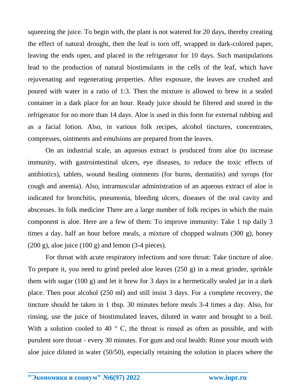squeezing the juice. To begin with, the plant is not watered for 20 days, thereby creating the effect of natural drought, then the leaf is torn off, wrapped in dark-colored paper, leaving the ends open, and placed in the refrigerator for 10 days. Such manipulations lead to the production of natural biostimulants in the cells of the leaf, which have rejuvenating and regenerating properties. After exposure, the leaves are crushed and poured with water in a ratio of 1:3. Then the mixture is allowed to brew in a sealed container in a dark place for an hour. Ready juice should be filtered and stored in the refrigerator for no more than 14 days. Aloe is used in this form for external rubbing and as a facial lotion. Also, in various folk recipes, alcohol tinctures, concentrates, compresses, ointments and emulsions are prepared from the leaves.

On an industrial scale, an aqueous extract is produced from aloe (to increase immunity, with gastrointestinal ulcers, eye diseases, to reduce the toxic effects of antibiotics), tablets, wound healing ointments (for burns, dermatitis) and syrups (for cough and anemia). Also, intramuscular administration of an aqueous extract of aloe is indicated for bronchitis, pneumonia, bleeding ulcers, diseases of the oral cavity and abscesses. In folk medicine There are a large number of folk recipes in which the main component is aloe. Here are a few of them: To improve immunity: Take 1 tsp daily 3 times a day. half an hour before meals, a mixture of chopped walnuts (300 g), honey  $(200 \text{ g})$ , aloe juice  $(100 \text{ g})$  and lemon  $(3-4 \text{ pieces})$ .

For throat with acute respiratory infections and sore throat: Take tincture of aloe. To prepare it, you need to grind peeled aloe leaves (250 g) in a meat grinder, sprinkle them with sugar (100 g) and let it brew for 3 days in a hermetically sealed jar in a dark place. Then pour alcohol (250 ml) and still insist 3 days. For a complete recovery, the tincture should be taken in 1 tbsp. 30 minutes before meals 3-4 times a day. Also, for rinsing, use the juice of biostimulated leaves, diluted in water and brought to a boil. With a solution cooled to 40  $\degree$  C, the throat is rinsed as often as possible, and with purulent sore throat - every 30 minutes. For gum and oral health: Rinse your mouth with aloe juice diluted in water (50/50), especially retaining the solution in places where the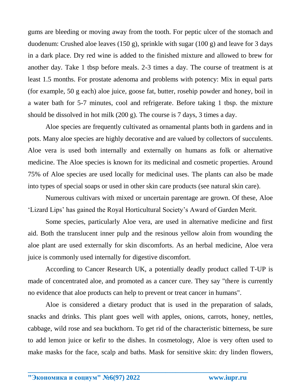gums are bleeding or moving away from the tooth. For peptic ulcer of the stomach and duodenum: Crushed aloe leaves (150 g), sprinkle with sugar (100 g) and leave for 3 days in a dark place. Dry red wine is added to the finished mixture and allowed to brew for another day. Take 1 tbsp before meals. 2-3 times a day. The course of treatment is at least 1.5 months. For prostate adenoma and problems with potency: Mix in equal parts (for example, 50 g each) aloe juice, goose fat, butter, rosehip powder and honey, boil in a water bath for 5-7 minutes, cool and refrigerate. Before taking 1 tbsp. the mixture should be dissolved in hot milk (200 g). The course is 7 days, 3 times a day.

Aloe species are frequently cultivated as ornamental plants both in gardens and in pots. Many aloe species are highly decorative and are valued by collectors of succulents. Aloe vera is used both internally and externally on humans as folk or alternative medicine. The Aloe species is known for its medicinal and cosmetic properties. Around 75% of Aloe species are used locally for medicinal uses. The plants can also be made into types of special soaps or used in other skin care products (see natural skin care).

Numerous cultivars with mixed or uncertain parentage are grown. Of these, Aloe 'Lizard Lips' has gained the Royal Horticultural Society's Award of Garden Merit.

Some species, particularly Aloe vera, are used in alternative medicine and first aid. Both the translucent inner pulp and the resinous yellow aloin from wounding the aloe plant are used externally for skin discomforts. As an herbal medicine, Aloe vera juice is commonly used internally for digestive discomfort.

According to Cancer Research UK, a potentially deadly product called T-UP is made of concentrated aloe, and promoted as a cancer cure. They say "there is currently no evidence that aloe products can help to prevent or treat cancer in humans".

Aloe is considered a dietary product that is used in the preparation of salads, snacks and drinks. This plant goes well with apples, onions, carrots, honey, nettles, cabbage, wild rose and sea buckthorn. To get rid of the characteristic bitterness, be sure to add lemon juice or kefir to the dishes. In cosmetology, Aloe is very often used to make masks for the face, scalp and baths. Mask for sensitive skin: dry linden flowers,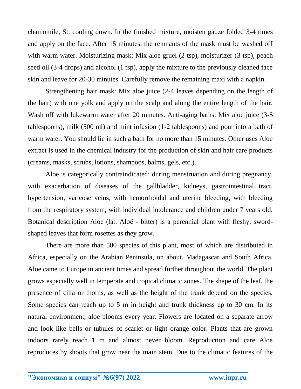chamomile, St. cooling down. In the finished mixture, moisten gauze folded 3-4 times and apply on the face. After 15 minutes, the remnants of the mask must be washed off with warm water. Moisturizing mask: Mix aloe gruel (2 tsp), moisturizer (3 tsp), peach seed oil (3-4 drops) and alcohol (1 tsp), apply the mixture to the previously cleaned face skin and leave for 20-30 minutes. Carefully remove the remaining maxi with a napkin.

Strengthening hair mask: Mix aloe juice (2-4 leaves depending on the length of the hair) with one yolk and apply on the scalp and along the entire length of the hair. Wash off with lukewarm water after 20 minutes. Anti-aging baths: Mix aloe juice (3-5 tablespoons), milk (500 ml) and mint infusion (1-2 tablespoons) and pour into a bath of warm water. You should lie in such a bath for no more than 15 minutes. Other uses Aloe extract is used in the chemical industry for the production of skin and hair care products (creams, masks, scrubs, lotions, shampoos, balms, gels, etc.).

Aloe is categorically contraindicated: during menstruation and during pregnancy, with exacerbation of diseases of the gallbladder, kidneys, gastrointestinal tract, hypertension, varicose veins, with hemorrhoidal and uterine bleeding, with bleeding from the respiratory system, with individual intolerance and children under 7 years old. Botanical description Aloe (lat. Aloë - bitter) is a perennial plant with fleshy, swordshaped leaves that form rosettes as they grow.

There are more than 500 species of this plant, most of which are distributed in Africa, especially on the Arabian Peninsula, on about. Madagascar and South Africa. Aloe came to Europe in ancient times and spread further throughout the world. The plant grows especially well in temperate and tropical climatic zones. The shape of the leaf, the presence of cilia or thorns, as well as the height of the trunk depend on the species. Some species can reach up to 5 m in height and trunk thickness up to 30 cm. In its natural environment, aloe blooms every year. Flowers are located on a separate arrow and look like bells or tubules of scarlet or light orange color. Plants that are grown indoors rarely reach 1 m and almost never bloom. Reproduction and care Aloe reproduces by shoots that grow near the main stem. Due to the climatic features of the